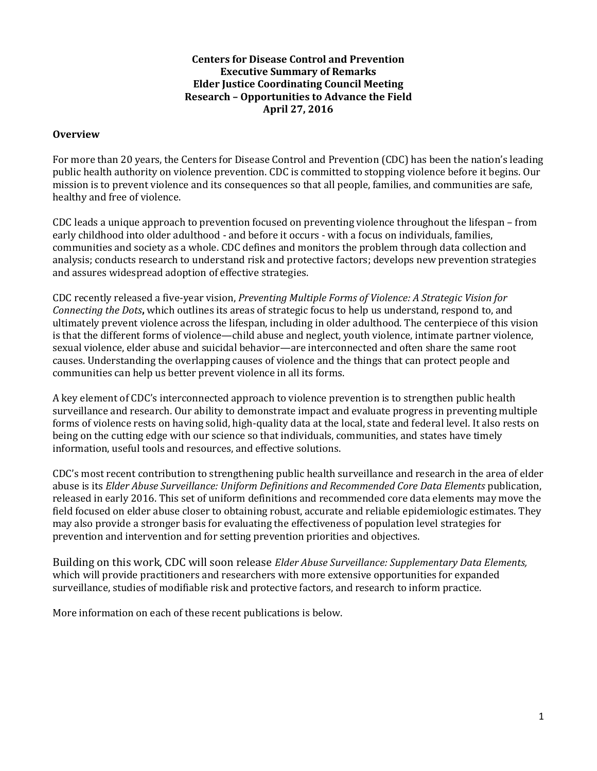#### **Centers for Disease Control and Prevention Executive Summary of Remarks Elder Justice Coordinating Council Meeting Research – Opportunities to Advance the Field April 27, 2016**

#### **Overview**

For more than 20 years, the Centers for Disease Control and Prevention (CDC) has been the nation's leading public health authority on violence prevention. CDC is committed to stopping violence before it begins. Our mission is to prevent violence and its consequences so that all people, families, and communities are safe, healthy and free of violence.

CDC leads a unique approach to prevention focused on preventing violence throughout the lifespan – from early childhood into older adulthood - and before it occurs - with a focus on individuals, families, communities and society as a whole. CDC defines and monitors the problem through data collection and analysis; conducts research to understand risk and protective factors; develops new prevention strategies and assures widespread adoption of effective strategies.

CDC recently released a five-year vision, *Preventing Multiple Forms of Violence: A Strategic Vision for Connecting the Dots***,** which outlines its areas of strategic focus to help us understand, respond to, and ultimately prevent violence across the lifespan, including in older adulthood. The centerpiece of this vision is that the different forms of violence—child abuse and neglect, youth violence, intimate partner violence, sexual violence, elder abuse and suicidal behavior—are interconnected and often share the same root causes. Understanding the overlapping causes of violence and the things that can protect people and communities can help us better prevent violence in all its forms.

A key element of CDC's interconnected approach to violence prevention is to strengthen public health surveillance and research. Our ability to demonstrate impact and evaluate progress in preventing multiple forms of violence rests on having solid, high-quality data at the local, state and federal level. It also rests on being on the cutting edge with our science so that individuals, communities, and states have timely information, useful tools and resources, and effective solutions.

CDC's most recent contribution to strengthening public health surveillance and research in the area of elder abuse is its *Elder Abuse Surveillance: Uniform Definitions and Recommended Core Data Elements* publication, released in early 2016. This set of uniform definitions and recommended core data elements may move the field focused on elder abuse closer to obtaining robust, accurate and reliable epidemiologic estimates. They may also provide a stronger basis for evaluating the effectiveness of population level strategies for prevention and intervention and for setting prevention priorities and objectives.

Building on this work, CDC will soon release *Elder Abuse Surveillance: Supplementary Data Elements,*  which will provide practitioners and researchers with more extensive opportunities for expanded surveillance, studies of modifiable risk and protective factors, and research to inform practice.

More information on each of these recent publications is below.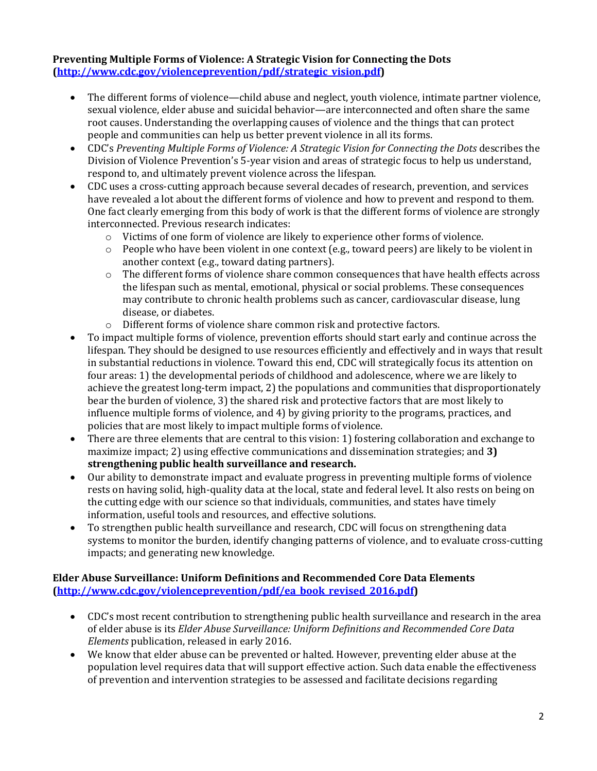## **Preventing Multiple Forms of Violence: A Strategic Vision for Connecting the Dots [\(http://www.cdc.gov/violenceprevention/pdf/strategic\\_vision.pdf\)](http://www.cdc.gov/violenceprevention/pdf/strategic_vision.pdf)**

- The different forms of violence—child abuse and neglect, youth violence, intimate partner violence, sexual violence, elder abuse and suicidal behavior—are interconnected and often share the same root causes. Understanding the overlapping causes of violence and the things that can protect people and communities can help us better prevent violence in all its forms.
- CDC's *Preventing Multiple Forms of Violence: A Strategic Vision for Connecting the Dots* describes the Division of Violence Prevention's 5-year vision and areas of strategic focus to help us understand, respond to, and ultimately prevent violence across the lifespan.
- CDC uses a cross-cutting approach because several decades of research, prevention, and services have revealed a lot about the different forms of violence and how to prevent and respond to them. One fact clearly emerging from this body of work is that the different forms of violence are strongly interconnected. Previous research indicates:
	- o Victims of one form of violence are likely to experience other forms of violence.
	- $\circ$  People who have been violent in one context (e.g., toward peers) are likely to be violent in another context (e.g., toward dating partners).
	- o The different forms of violence share common consequences that have health effects across the lifespan such as mental, emotional, physical or social problems. These consequences may contribute to chronic health problems such as cancer, cardiovascular disease, lung disease, or diabetes.
	- o Different forms of violence share common risk and protective factors.
- To impact multiple forms of violence, prevention efforts should start early and continue across the lifespan. They should be designed to use resources efficiently and effectively and in ways that result in substantial reductions in violence. Toward this end, CDC will strategically focus its attention on four areas: 1) the developmental periods of childhood and adolescence, where we are likely to achieve the greatest long-term impact, 2) the populations and communities that disproportionately bear the burden of violence, 3) the shared risk and protective factors that are most likely to influence multiple forms of violence, and 4) by giving priority to the programs, practices, and policies that are most likely to impact multiple forms of violence.
- There are three elements that are central to this vision: 1) fostering collaboration and exchange to maximize impact; 2) using effective communications and dissemination strategies; and **3) strengthening public health surveillance and research.**
- Our ability to demonstrate impact and evaluate progress in preventing multiple forms of violence rests on having solid, high-quality data at the local, state and federal level. It also rests on being on the cutting edge with our science so that individuals, communities, and states have timely information, useful tools and resources, and effective solutions.
- To strengthen public health surveillance and research, CDC will focus on strengthening data systems to monitor the burden, identify changing patterns of violence, and to evaluate cross-cutting impacts; and generating new knowledge.

## **Elder Abuse Surveillance: Uniform Definitions and Recommended Core Data Elements [\(http://www.cdc.gov/violenceprevention/pdf/ea\\_book\\_revised\\_2016.pdf\)](http://www.cdc.gov/violenceprevention/pdf/ea_book_revised_2016.pdf)**

- CDC's most recent contribution to strengthening public health surveillance and research in the area of elder abuse is its *Elder Abuse Surveillance: Uniform Definitions and Recommended Core Data Elements* publication, released in early 2016.
- We know that elder abuse can be prevented or halted. However, preventing elder abuse at the population level requires data that will support effective action. Such data enable the effectiveness of prevention and intervention strategies to be assessed and facilitate decisions regarding